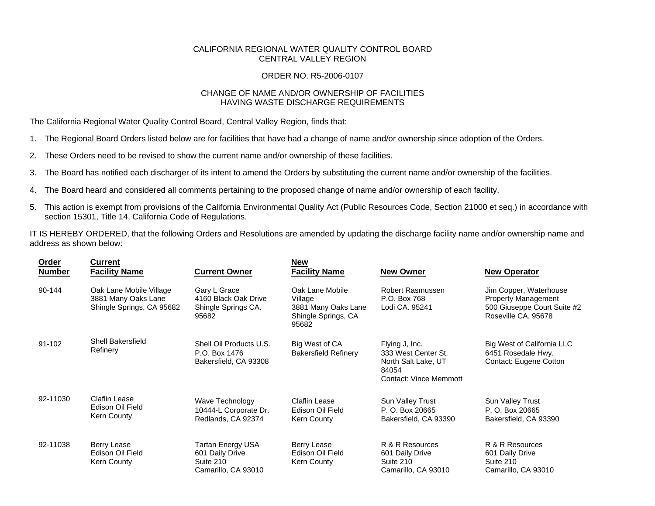## CALIFORNIA REGIONAL WATER QUALITY CONTROL BOARD CENTRAL VALLEY REGION

## ORDER NO. R5-2006-0107

## CHANGE OF NAME AND/OR OWNERSHIP OF FACILITIES HAVING WASTE DISCHARGE REQUIREMENTS

The California Regional Water Quality Control Board, Central Valley Region, finds that:

- 1. The Regional Board Orders listed below are for facilities that have had a change of name and/or ownership since adoption of the Orders.
- 2. These Orders need to be revised to show the current name and/or ownership of these facilities.
- 3. The Board has notified each discharger of its intent to amend the Orders by substituting the current name and/or ownership of the facilities.
- 4. The Board heard and considered all comments pertaining to the proposed change of name and/or ownership of each facility.
- 5. This action is exempt from provisions of the California Environmental Quality Act (Public Resources Code, Section 21000 et seq.) in accordance with section 15301, Title 14, California Code of Regulations.

IT IS HEREBY ORDERED, that the following Orders and Resolutions are amended by updating the discharge facility name and/or ownership name and address as shown below:

| <b>Order</b><br><b>Number</b> | <b>Current</b><br><b>Facility Name</b>                                      | <b>Current Owner</b>                                                     | <b>New</b><br><b>Facility Name</b>                                                | <b>New Owner</b>                                                                                       | <b>New Operator</b>                                                                                        |
|-------------------------------|-----------------------------------------------------------------------------|--------------------------------------------------------------------------|-----------------------------------------------------------------------------------|--------------------------------------------------------------------------------------------------------|------------------------------------------------------------------------------------------------------------|
| 90-144                        | Oak Lane Mobile Village<br>3881 Many Oaks Lane<br>Shingle Springs, CA 95682 | Gary L Grace<br>4160 Black Oak Drive<br>Shingle Springs CA.<br>95682     | Oak Lane Mobile<br>Village<br>3881 Many Oaks Lane<br>Shingle Springs, CA<br>95682 | Robert Rasmussen<br>P.O. Box 768<br>Lodi CA. 95241                                                     | Jim Copper, Waterhouse<br><b>Property Management</b><br>500 Giuseppe Court Suite #2<br>Roseville CA. 95678 |
| 91-102                        | <b>Shell Bakersfield</b><br>Refinery                                        | Shell Oil Products U.S.<br>P.O. Box 1476<br>Bakersfield, CA 93308        | Big West of CA<br><b>Bakersfield Refinery</b>                                     | Flying J, Inc.<br>333 West Center St.<br>North Salt Lake, UT<br>84054<br><b>Contact: Vince Memmott</b> | Big West of California LLC<br>6451 Rosedale Hwy.<br>Contact: Eugene Cotton                                 |
| 92-11030                      | Claflin Lease<br>Edison Oil Field<br>Kern County                            | Wave Technology<br>10444-L Corporate Dr.<br>Redlands, CA 92374           | <b>Claflin Lease</b><br>Edison Oil Field<br>Kern County                           | Sun Valley Trust<br>P. O. Box 20665<br>Bakersfield, CA 93390                                           | Sun Valley Trust<br>P. O. Box 20665<br>Bakersfield, CA 93390                                               |
| 92-11038                      | Berry Lease<br>Edison Oil Field<br>Kern County                              | Tartan Energy USA<br>601 Daily Drive<br>Suite 210<br>Camarillo, CA 93010 | Berry Lease<br>Edison Oil Field<br>Kern County                                    | R & R Resources<br>601 Daily Drive<br>Suite 210<br>Camarillo, CA 93010                                 | R & R Resources<br>601 Daily Drive<br>Suite 210<br>Camarillo, CA 93010                                     |